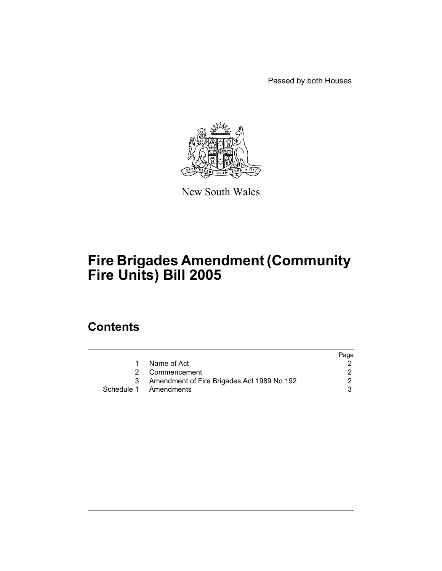Passed by both Houses



New South Wales

# **Fire Brigades Amendment (Community Fire Units) Bill 2005**

## **Contents**

|                                              | Page |
|----------------------------------------------|------|
| 1 Name of Act                                |      |
| 2 Commencement                               |      |
| 3 Amendment of Fire Brigades Act 1989 No 192 |      |
| Schedule 1 Amendments                        |      |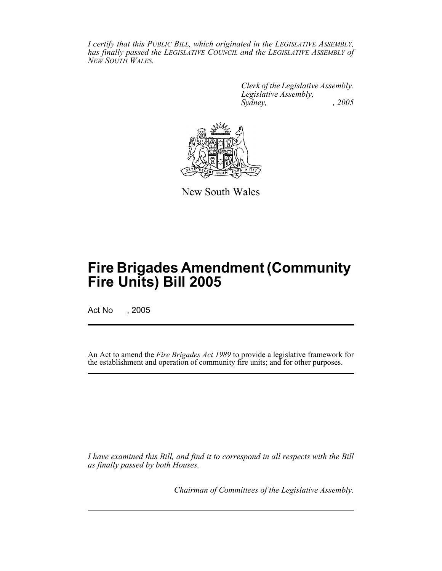*I certify that this PUBLIC BILL, which originated in the LEGISLATIVE ASSEMBLY, has finally passed the LEGISLATIVE COUNCIL and the LEGISLATIVE ASSEMBLY of NEW SOUTH WALES.*

> *Clerk of the Legislative Assembly. Legislative Assembly, Sydney, , 2005*



New South Wales

## **Fire Brigades Amendment (Community Fire Units) Bill 2005**

Act No , 2005

An Act to amend the *Fire Brigades Act 1989* to provide a legislative framework for the establishment and operation of community fire units; and for other purposes.

*I have examined this Bill, and find it to correspond in all respects with the Bill as finally passed by both Houses.*

*Chairman of Committees of the Legislative Assembly.*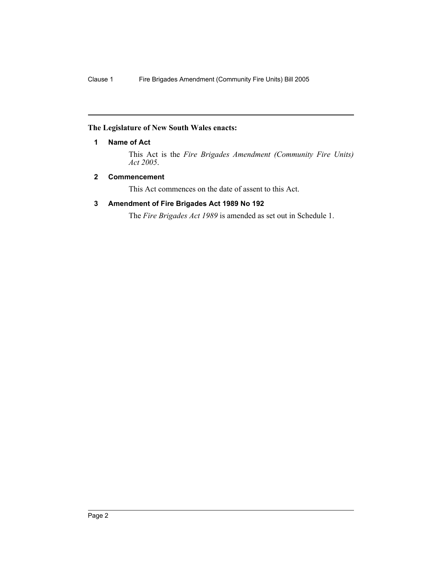#### **The Legislature of New South Wales enacts:**

#### **1 Name of Act**

This Act is the *Fire Brigades Amendment (Community Fire Units) Act 2005*.

#### **2 Commencement**

This Act commences on the date of assent to this Act.

#### **3 Amendment of Fire Brigades Act 1989 No 192**

The *Fire Brigades Act 1989* is amended as set out in Schedule 1.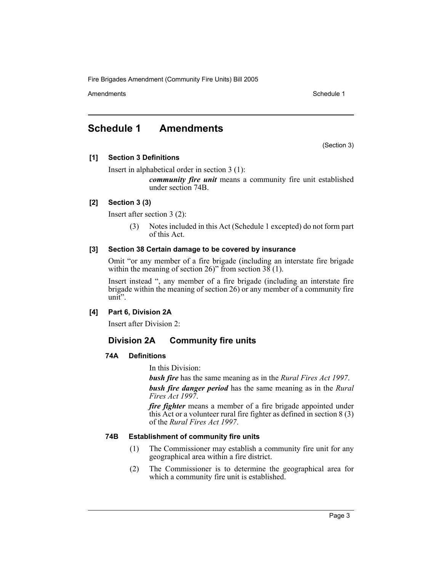Amendments **Amendments** Schedule 1

### **Schedule 1 Amendments**

(Section 3)

#### **[1] Section 3 Definitions**

Insert in alphabetical order in section 3 (1):

*community fire unit* means a community fire unit established under section 74B.

#### **[2] Section 3 (3)**

Insert after section 3 (2):

(3) Notes included in this Act (Schedule 1 excepted) do not form part of this Act.

#### **[3] Section 38 Certain damage to be covered by insurance**

Omit "or any member of a fire brigade (including an interstate fire brigade within the meaning of section 26)" from section  $38(1)$ .

Insert instead ", any member of a fire brigade (including an interstate fire brigade within the meaning of section 26) or any member of a community fire unit".

#### **[4] Part 6, Division 2A**

Insert after Division 2:

### **Division 2A Community fire units**

#### **74A Definitions**

In this Division:

*bush fire* has the same meaning as in the *Rural Fires Act 1997*.

*bush fire danger period* has the same meaning as in the *Rural Fires Act 1997*.

*fire fighter* means a member of a fire brigade appointed under this Act or a volunteer rural fire fighter as defined in section  $8(3)$ of the *Rural Fires Act 1997*.

#### **74B Establishment of community fire units**

- (1) The Commissioner may establish a community fire unit for any geographical area within a fire district.
- (2) The Commissioner is to determine the geographical area for which a community fire unit is established.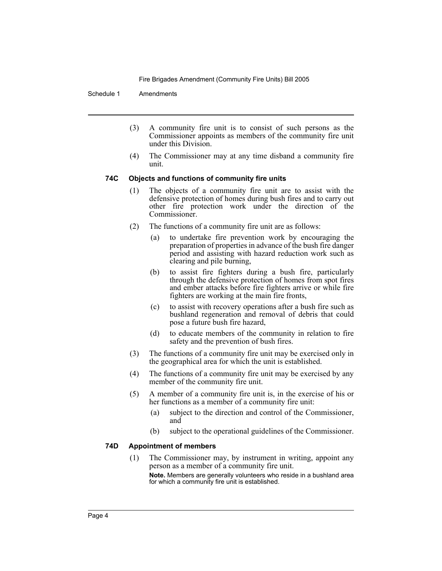Schedule 1 Amendments

- (3) A community fire unit is to consist of such persons as the Commissioner appoints as members of the community fire unit under this Division.
- (4) The Commissioner may at any time disband a community fire unit.

#### **74C Objects and functions of community fire units**

- (1) The objects of a community fire unit are to assist with the defensive protection of homes during bush fires and to carry out other fire protection work under the direction of the Commissioner.
- (2) The functions of a community fire unit are as follows:
	- (a) to undertake fire prevention work by encouraging the preparation of properties in advance of the bush fire danger period and assisting with hazard reduction work such as clearing and pile burning,
	- (b) to assist fire fighters during a bush fire, particularly through the defensive protection of homes from spot fires and ember attacks before fire fighters arrive or while fire fighters are working at the main fire fronts,
	- (c) to assist with recovery operations after a bush fire such as bushland regeneration and removal of debris that could pose a future bush fire hazard,
	- (d) to educate members of the community in relation to fire safety and the prevention of bush fires.
- (3) The functions of a community fire unit may be exercised only in the geographical area for which the unit is established.
- (4) The functions of a community fire unit may be exercised by any member of the community fire unit.
- (5) A member of a community fire unit is, in the exercise of his or her functions as a member of a community fire unit:
	- (a) subject to the direction and control of the Commissioner, and
	- (b) subject to the operational guidelines of the Commissioner.

#### **74D Appointment of members**

(1) The Commissioner may, by instrument in writing, appoint any person as a member of a community fire unit. **Note.** Members are generally volunteers who reside in a bushland area for which a community fire unit is established.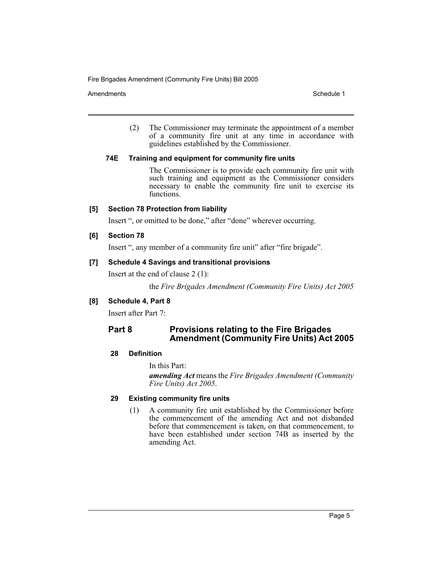Amendments **Schedule 1** and the set of the set of the set of the set of the set of the set of the set of the set of the set of the set of the set of the set of the set of the set of the set of the set of the set of the set

(2) The Commissioner may terminate the appointment of a member of a community fire unit at any time in accordance with guidelines established by the Commissioner.

#### **74E Training and equipment for community fire units**

The Commissioner is to provide each community fire unit with such training and equipment as the Commissioner considers necessary to enable the community fire unit to exercise its functions.

#### **[5] Section 78 Protection from liability**

Insert ", or omitted to be done," after "done" wherever occurring.

#### **[6] Section 78**

Insert ", any member of a community fire unit" after "fire brigade".

#### **[7] Schedule 4 Savings and transitional provisions**

Insert at the end of clause 2 (1):

the *Fire Brigades Amendment (Community Fire Units) Act 2005*

#### **[8] Schedule 4, Part 8**

Insert after Part 7:

#### **Part 8 Provisions relating to the Fire Brigades Amendment (Community Fire Units) Act 2005**

#### **28 Definition**

In this Part:

*amending Act* means the *Fire Brigades Amendment (Community Fire Units) Act 2005*.

#### **29 Existing community fire units**

(1) A community fire unit established by the Commissioner before the commencement of the amending Act and not disbanded before that commencement is taken, on that commencement, to have been established under section 74B as inserted by the amending Act.